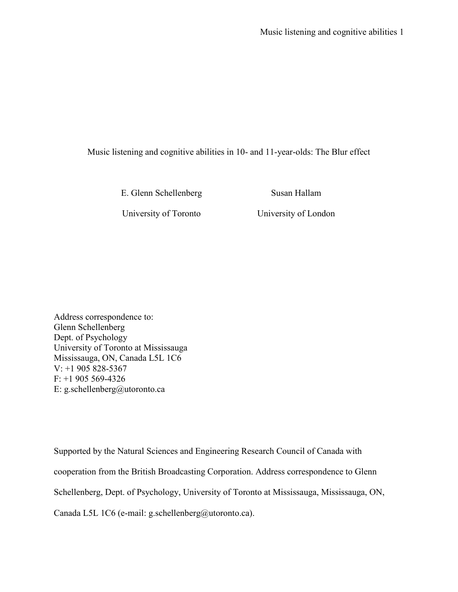Music listening and cognitive abilities in 10- and 11-year-olds: The Blur effect

E. Glenn Schellenberg Susan Hallam

University of Toronto University of London

Address correspondence to: Glenn Schellenberg Dept. of Psychology University of Toronto at Mississauga Mississauga, ON, Canada L5L 1C6 V: +1 905 828-5367  $F: +1905569-4326$ E: g.schellenberg@utoronto.ca

Supported by the Natural Sciences and Engineering Research Council of Canada with cooperation from the British Broadcasting Corporation. Address correspondence to Glenn Schellenberg, Dept. of Psychology, University of Toronto at Mississauga, Mississauga, ON, Canada L5L 1C6 (e-mail: g.schellenberg@utoronto.ca).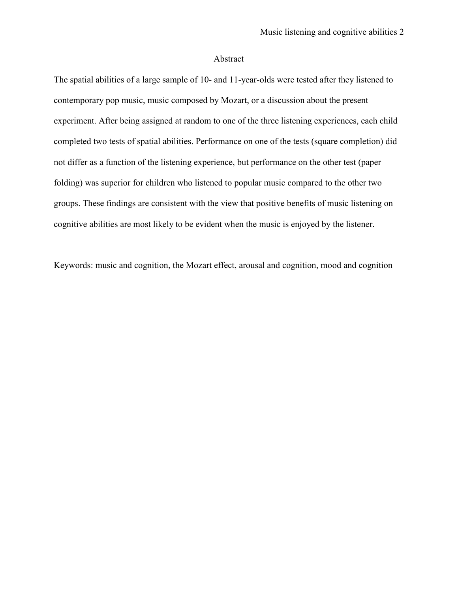# Abstract

The spatial abilities of a large sample of 10- and 11-year-olds were tested after they listened to contemporary pop music, music composed by Mozart, or a discussion about the present experiment. After being assigned at random to one of the three listening experiences, each child completed two tests of spatial abilities. Performance on one of the tests (square completion) did not differ as a function of the listening experience, but performance on the other test (paper folding) was superior for children who listened to popular music compared to the other two groups. These findings are consistent with the view that positive benefits of music listening on cognitive abilities are most likely to be evident when the music is enjoyed by the listener.

Keywords: music and cognition, the Mozart effect, arousal and cognition, mood and cognition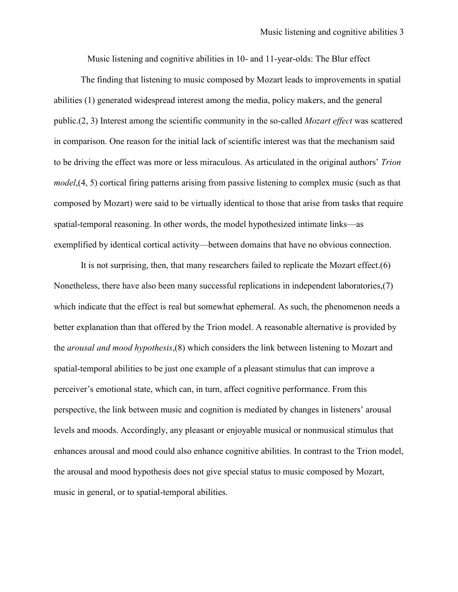Music listening and cognitive abilities in 10- and 11-year-olds: The Blur effect

The finding that listening to music composed by Mozart leads to improvements in spatial abilities (1) generated widespread interest among the media, policy makers, and the general public.(2, 3) Interest among the scientific community in the so-called *Mozart effect* was scattered in comparison. One reason for the initial lack of scientific interest was that the mechanism said to be driving the effect was more or less miraculous. As articulated in the original authors' *Trion model*,(4, 5) cortical firing patterns arising from passive listening to complex music (such as that composed by Mozart) were said to be virtually identical to those that arise from tasks that require spatial-temporal reasoning. In other words, the model hypothesized intimate links—as exemplified by identical cortical activity—between domains that have no obvious connection.

It is not surprising, then, that many researchers failed to replicate the Mozart effect.(6) Nonetheless, there have also been many successful replications in independent laboratories,(7) which indicate that the effect is real but somewhat ephemeral. As such, the phenomenon needs a better explanation than that offered by the Trion model. A reasonable alternative is provided by the *arousal and mood hypothesis*,(8) which considers the link between listening to Mozart and spatial-temporal abilities to be just one example of a pleasant stimulus that can improve a perceiver's emotional state, which can, in turn, affect cognitive performance. From this perspective, the link between music and cognition is mediated by changes in listeners' arousal levels and moods. Accordingly, any pleasant or enjoyable musical or nonmusical stimulus that enhances arousal and mood could also enhance cognitive abilities. In contrast to the Trion model, the arousal and mood hypothesis does not give special status to music composed by Mozart, music in general, or to spatial-temporal abilities.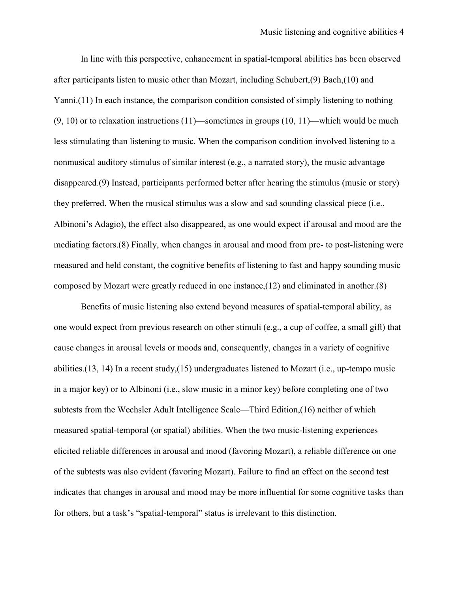In line with this perspective, enhancement in spatial-temporal abilities has been observed after participants listen to music other than Mozart, including Schubert,(9) Bach,(10) and Yanni.(11) In each instance, the comparison condition consisted of simply listening to nothing  $(9, 10)$  or to relaxation instructions  $(11)$ —sometimes in groups  $(10, 11)$ —which would be much less stimulating than listening to music. When the comparison condition involved listening to a nonmusical auditory stimulus of similar interest (e.g., a narrated story), the music advantage disappeared.(9) Instead, participants performed better after hearing the stimulus (music or story) they preferred. When the musical stimulus was a slow and sad sounding classical piece (i.e., Albinoni's Adagio), the effect also disappeared, as one would expect if arousal and mood are the mediating factors.(8) Finally, when changes in arousal and mood from pre- to post-listening were measured and held constant, the cognitive benefits of listening to fast and happy sounding music composed by Mozart were greatly reduced in one instance,(12) and eliminated in another.(8)

Benefits of music listening also extend beyond measures of spatial-temporal ability, as one would expect from previous research on other stimuli (e.g., a cup of coffee, a small gift) that cause changes in arousal levels or moods and, consequently, changes in a variety of cognitive abilities.(13, 14) In a recent study,(15) undergraduates listened to Mozart (i.e., up-tempo music in a major key) or to Albinoni (i.e., slow music in a minor key) before completing one of two subtests from the Wechsler Adult Intelligence Scale—Third Edition,(16) neither of which measured spatial-temporal (or spatial) abilities. When the two music-listening experiences elicited reliable differences in arousal and mood (favoring Mozart), a reliable difference on one of the subtests was also evident (favoring Mozart). Failure to find an effect on the second test indicates that changes in arousal and mood may be more influential for some cognitive tasks than for others, but a task's "spatial-temporal" status is irrelevant to this distinction.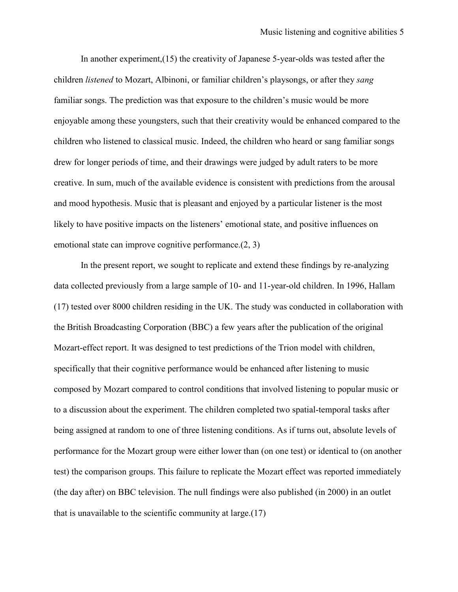In another experiment,(15) the creativity of Japanese 5-year-olds was tested after the children *listened* to Mozart, Albinoni, or familiar children's playsongs, or after they *sang* familiar songs. The prediction was that exposure to the children's music would be more enjoyable among these youngsters, such that their creativity would be enhanced compared to the children who listened to classical music. Indeed, the children who heard or sang familiar songs drew for longer periods of time, and their drawings were judged by adult raters to be more creative. In sum, much of the available evidence is consistent with predictions from the arousal and mood hypothesis. Music that is pleasant and enjoyed by a particular listener is the most likely to have positive impacts on the listeners' emotional state, and positive influences on emotional state can improve cognitive performance.(2, 3)

In the present report, we sought to replicate and extend these findings by re-analyzing data collected previously from a large sample of 10- and 11-year-old children. In 1996, Hallam (17) tested over 8000 children residing in the UK. The study was conducted in collaboration with the British Broadcasting Corporation (BBC) a few years after the publication of the original Mozart-effect report. It was designed to test predictions of the Trion model with children, specifically that their cognitive performance would be enhanced after listening to music composed by Mozart compared to control conditions that involved listening to popular music or to a discussion about the experiment. The children completed two spatial-temporal tasks after being assigned at random to one of three listening conditions. As if turns out, absolute levels of performance for the Mozart group were either lower than (on one test) or identical to (on another test) the comparison groups. This failure to replicate the Mozart effect was reported immediately (the day after) on BBC television. The null findings were also published (in 2000) in an outlet that is unavailable to the scientific community at large.(17)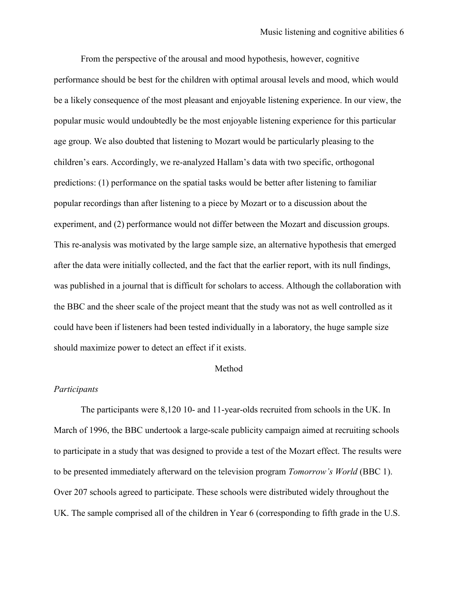From the perspective of the arousal and mood hypothesis, however, cognitive performance should be best for the children with optimal arousal levels and mood, which would be a likely consequence of the most pleasant and enjoyable listening experience. In our view, the popular music would undoubtedly be the most enjoyable listening experience for this particular age group. We also doubted that listening to Mozart would be particularly pleasing to the children's ears. Accordingly, we re-analyzed Hallam's data with two specific, orthogonal predictions: (1) performance on the spatial tasks would be better after listening to familiar popular recordings than after listening to a piece by Mozart or to a discussion about the experiment, and (2) performance would not differ between the Mozart and discussion groups. This re-analysis was motivated by the large sample size, an alternative hypothesis that emerged after the data were initially collected, and the fact that the earlier report, with its null findings, was published in a journal that is difficult for scholars to access. Although the collaboration with the BBC and the sheer scale of the project meant that the study was not as well controlled as it could have been if listeners had been tested individually in a laboratory, the huge sample size should maximize power to detect an effect if it exists.

### Method

# *Participants*

The participants were 8,120 10- and 11-year-olds recruited from schools in the UK. In March of 1996, the BBC undertook a large-scale publicity campaign aimed at recruiting schools to participate in a study that was designed to provide a test of the Mozart effect. The results were to be presented immediately afterward on the television program *Tomorrow's World* (BBC 1). Over 207 schools agreed to participate. These schools were distributed widely throughout the UK. The sample comprised all of the children in Year 6 (corresponding to fifth grade in the U.S.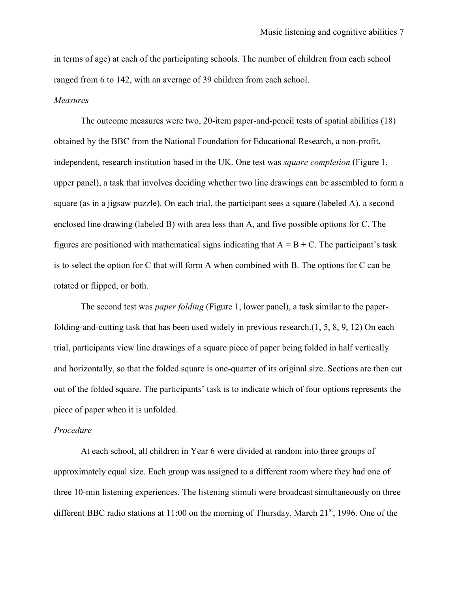in terms of age) at each of the participating schools. The number of children from each school ranged from 6 to 142, with an average of 39 children from each school.

## *Measures*

The outcome measures were two, 20-item paper-and-pencil tests of spatial abilities (18) obtained by the BBC from the National Foundation for Educational Research, a non-profit, independent, research institution based in the UK. One test was *square completion* (Figure 1, upper panel), a task that involves deciding whether two line drawings can be assembled to form a square (as in a jigsaw puzzle). On each trial, the participant sees a square (labeled A), a second enclosed line drawing (labeled B) with area less than A, and five possible options for C. The figures are positioned with mathematical signs indicating that  $A = B + C$ . The participant's task is to select the option for C that will form A when combined with B. The options for C can be rotated or flipped, or both.

The second test was *paper folding* (Figure 1, lower panel), a task similar to the paperfolding-and-cutting task that has been used widely in previous research.(1, 5, 8, 9, 12) On each trial, participants view line drawings of a square piece of paper being folded in half vertically and horizontally, so that the folded square is one-quarter of its original size. Sections are then cut out of the folded square. The participants' task is to indicate which of four options represents the piece of paper when it is unfolded.

#### *Procedure*

At each school, all children in Year 6 were divided at random into three groups of approximately equal size. Each group was assigned to a different room where they had one of three 10-min listening experiences. The listening stimuli were broadcast simultaneously on three different BBC radio stations at  $11:00$  on the morning of Thursday, March  $21<sup>st</sup>$ , 1996. One of the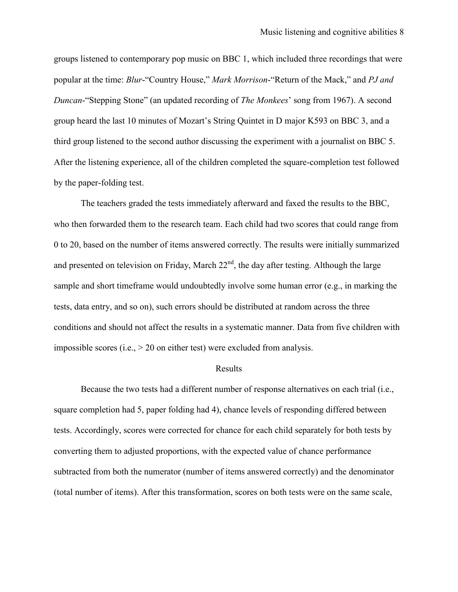groups listened to contemporary pop music on BBC 1, which included three recordings that were popular at the time: *Blur*-"Country House," *Mark Morrison*-"Return of the Mack," and *PJ and Duncan*-"Stepping Stone" (an updated recording of *The Monkees*' song from 1967). A second group heard the last 10 minutes of Mozart's String Quintet in D major K593 on BBC 3, and a third group listened to the second author discussing the experiment with a journalist on BBC 5. After the listening experience, all of the children completed the square-completion test followed by the paper-folding test.

The teachers graded the tests immediately afterward and faxed the results to the BBC, who then forwarded them to the research team. Each child had two scores that could range from 0 to 20, based on the number of items answered correctly. The results were initially summarized and presented on television on Friday, March  $22<sup>nd</sup>$ , the day after testing. Although the large sample and short timeframe would undoubtedly involve some human error (e.g., in marking the tests, data entry, and so on), such errors should be distributed at random across the three conditions and should not affect the results in a systematic manner. Data from five children with impossible scores (i.e.,  $> 20$  on either test) were excluded from analysis.

### Results

Because the two tests had a different number of response alternatives on each trial (i.e., square completion had 5, paper folding had 4), chance levels of responding differed between tests. Accordingly, scores were corrected for chance for each child separately for both tests by converting them to adjusted proportions, with the expected value of chance performance subtracted from both the numerator (number of items answered correctly) and the denominator (total number of items). After this transformation, scores on both tests were on the same scale,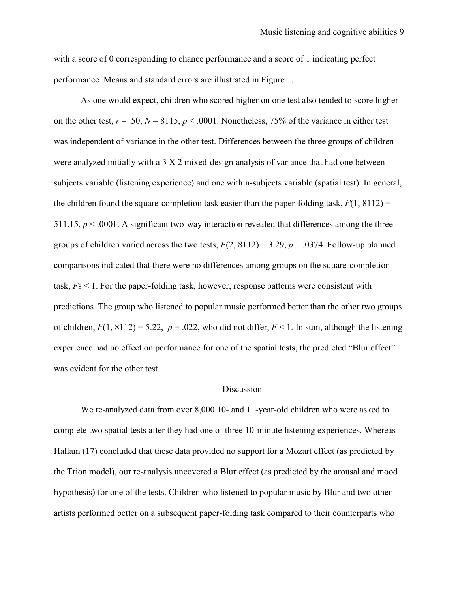with a score of 0 corresponding to chance performance and a score of 1 indicating perfect performance. Means and standard errors are illustrated in Figure 1.

As one would expect, children who scored higher on one test also tended to score higher on the other test,  $r = .50$ ,  $N = 8115$ ,  $p < .0001$ . Nonetheless, 75% of the variance in either test was independent of variance in the other test. Differences between the three groups of children were analyzed initially with a 3 X 2 mixed-design analysis of variance that had one betweensubjects variable (listening experience) and one within-subjects variable (spatial test). In general, the children found the square-completion task easier than the paper-folding task,  $F(1, 8112) =$ 511.15,  $p < .0001$ . A significant two-way interaction revealed that differences among the three groups of children varied across the two tests,  $F(2, 8112) = 3.29$ ,  $p = .0374$ . Follow-up planned comparisons indicated that there were no differences among groups on the square-completion task, *F*s < 1. For the paper-folding task, however, response patterns were consistent with predictions. The group who listened to popular music performed better than the other two groups of children,  $F(1, 8112) = 5.22$ ,  $p = .022$ , who did not differ,  $F < 1$ . In sum, although the listening experience had no effect on performance for one of the spatial tests, the predicted "Blur effect" was evident for the other test.

## **Discussion**

We re-analyzed data from over 8,000 10- and 11-year-old children who were asked to complete two spatial tests after they had one of three 10-minute listening experiences. Whereas Hallam (17) concluded that these data provided no support for a Mozart effect (as predicted by the Trion model), our re-analysis uncovered a Blur effect (as predicted by the arousal and mood hypothesis) for one of the tests. Children who listened to popular music by Blur and two other artists performed better on a subsequent paper-folding task compared to their counterparts who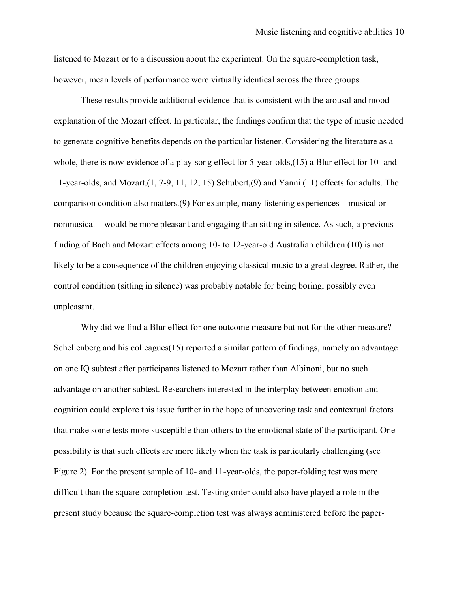listened to Mozart or to a discussion about the experiment. On the square-completion task, however, mean levels of performance were virtually identical across the three groups.

These results provide additional evidence that is consistent with the arousal and mood explanation of the Mozart effect. In particular, the findings confirm that the type of music needed to generate cognitive benefits depends on the particular listener. Considering the literature as a whole, there is now evidence of a play-song effect for 5-year-olds,(15) a Blur effect for 10- and 11-year-olds, and Mozart,(1, 7-9, 11, 12, 15) Schubert,(9) and Yanni (11) effects for adults. The comparison condition also matters.(9) For example, many listening experiences—musical or nonmusical—would be more pleasant and engaging than sitting in silence. As such, a previous finding of Bach and Mozart effects among 10- to 12-year-old Australian children (10) is not likely to be a consequence of the children enjoying classical music to a great degree. Rather, the control condition (sitting in silence) was probably notable for being boring, possibly even unpleasant.

Why did we find a Blur effect for one outcome measure but not for the other measure? Schellenberg and his colleagues(15) reported a similar pattern of findings, namely an advantage on one IQ subtest after participants listened to Mozart rather than Albinoni, but no such advantage on another subtest. Researchers interested in the interplay between emotion and cognition could explore this issue further in the hope of uncovering task and contextual factors that make some tests more susceptible than others to the emotional state of the participant. One possibility is that such effects are more likely when the task is particularly challenging (see Figure 2). For the present sample of 10- and 11-year-olds, the paper-folding test was more difficult than the square-completion test. Testing order could also have played a role in the present study because the square-completion test was always administered before the paper-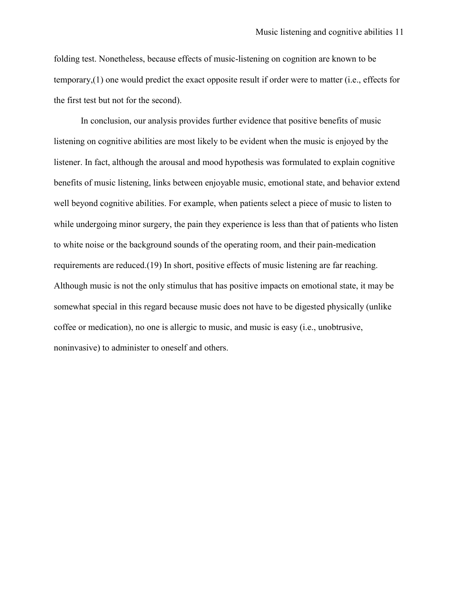folding test. Nonetheless, because effects of music-listening on cognition are known to be temporary,(1) one would predict the exact opposite result if order were to matter (i.e., effects for the first test but not for the second).

In conclusion, our analysis provides further evidence that positive benefits of music listening on cognitive abilities are most likely to be evident when the music is enjoyed by the listener. In fact, although the arousal and mood hypothesis was formulated to explain cognitive benefits of music listening, links between enjoyable music, emotional state, and behavior extend well beyond cognitive abilities. For example, when patients select a piece of music to listen to while undergoing minor surgery, the pain they experience is less than that of patients who listen to white noise or the background sounds of the operating room, and their pain-medication requirements are reduced.(19) In short, positive effects of music listening are far reaching. Although music is not the only stimulus that has positive impacts on emotional state, it may be somewhat special in this regard because music does not have to be digested physically (unlike coffee or medication), no one is allergic to music, and music is easy (i.e., unobtrusive, noninvasive) to administer to oneself and others.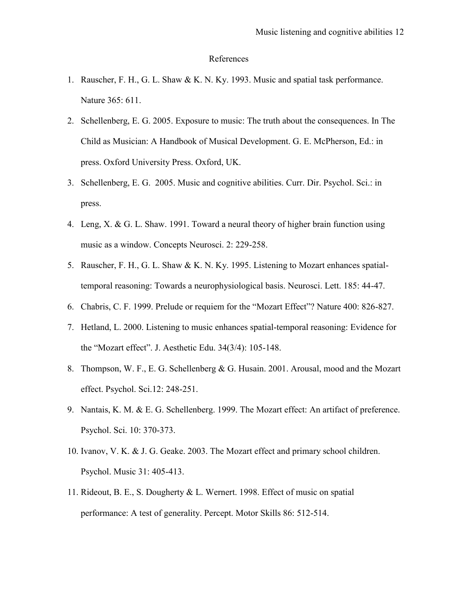## References

- 1. Rauscher, F. H., G. L. Shaw & K. N. Ky. 1993. Music and spatial task performance. Nature 365: 611.
- 2. Schellenberg, E. G. 2005. Exposure to music: The truth about the consequences. In The Child as Musician: A Handbook of Musical Development. G. E. McPherson, Ed.: in press. Oxford University Press. Oxford, UK.
- 3. Schellenberg, E. G. 2005. Music and cognitive abilities. Curr. Dir. Psychol. Sci.: in press.
- 4. Leng, X. & G. L. Shaw. 1991. Toward a neural theory of higher brain function using music as a window. Concepts Neurosci. 2: 229-258.
- 5. Rauscher, F. H., G. L. Shaw & K. N. Ky. 1995. Listening to Mozart enhances spatialtemporal reasoning: Towards a neurophysiological basis. Neurosci. Lett. 185: 44-47.
- 6. Chabris, C. F. 1999. Prelude or requiem for the "Mozart Effect"? Nature 400: 826-827.
- 7. Hetland, L. 2000. Listening to music enhances spatial-temporal reasoning: Evidence for the "Mozart effect". J. Aesthetic Edu. 34(3/4): 105-148.
- 8. Thompson, W. F., E. G. Schellenberg & G. Husain. 2001. Arousal, mood and the Mozart effect. Psychol. Sci.12: 248-251.
- 9. Nantais, K. M. & E. G. Schellenberg. 1999. The Mozart effect: An artifact of preference. Psychol. Sci. 10: 370-373.
- 10. Ivanov, V. K. & J. G. Geake. 2003. The Mozart effect and primary school children. Psychol. Music 31: 405-413.
- 11. Rideout, B. E., S. Dougherty & L. Wernert. 1998. Effect of music on spatial performance: A test of generality. Percept. Motor Skills 86: 512-514.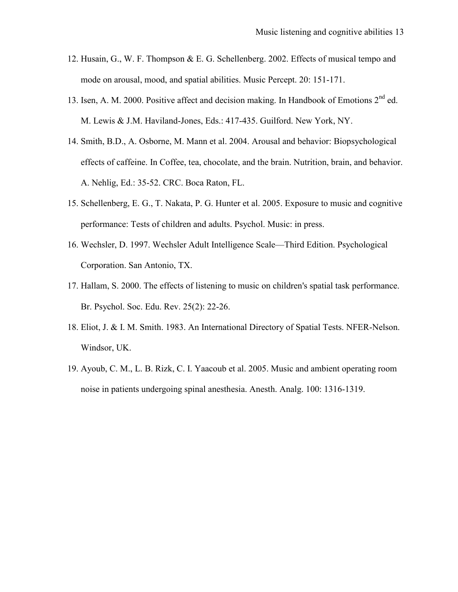- 12. Husain, G., W. F. Thompson & E. G. Schellenberg. 2002. Effects of musical tempo and mode on arousal, mood, and spatial abilities. Music Percept. 20: 151-171.
- 13. Isen, A. M. 2000. Positive affect and decision making. In Handbook of Emotions 2<sup>nd</sup> ed. M. Lewis & J.M. Haviland-Jones, Eds.: 417-435. Guilford. New York, NY.
- 14. Smith, B.D., A. Osborne, M. Mann et al. 2004. Arousal and behavior: Biopsychological effects of caffeine. In Coffee, tea, chocolate, and the brain. Nutrition, brain, and behavior. A. Nehlig, Ed.: 35-52. CRC. Boca Raton, FL.
- 15. Schellenberg, E. G., T. Nakata, P. G. Hunter et al. 2005. Exposure to music and cognitive performance: Tests of children and adults. Psychol. Music: in press.
- 16. Wechsler, D. 1997. Wechsler Adult Intelligence Scale—Third Edition. Psychological Corporation. San Antonio, TX.
- 17. Hallam, S. 2000. The effects of listening to music on children's spatial task performance. Br. Psychol. Soc. Edu. Rev. 25(2): 22-26.
- 18. Eliot, J. & I. M. Smith. 1983. An International Directory of Spatial Tests. NFER-Nelson. Windsor, UK.
- 19. Ayoub, C. M., L. B. Rizk, C. I. Yaacoub et al. 2005. Music and ambient operating room noise in patients undergoing spinal anesthesia. Anesth. Analg. 100: 1316-1319.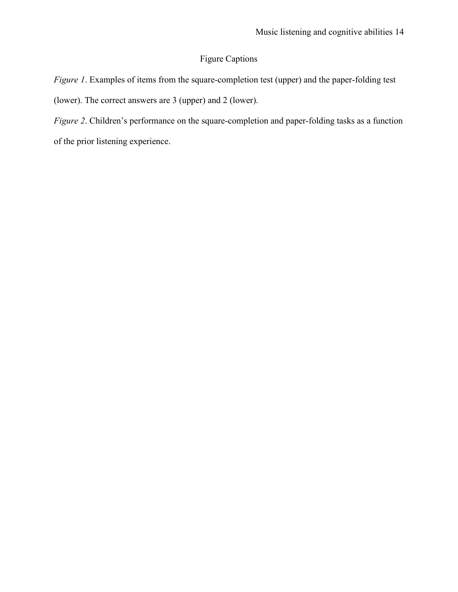# Figure Captions

*Figure 1*. Examples of items from the square-completion test (upper) and the paper-folding test (lower). The correct answers are 3 (upper) and 2 (lower).

*Figure 2*. Children's performance on the square-completion and paper-folding tasks as a function of the prior listening experience.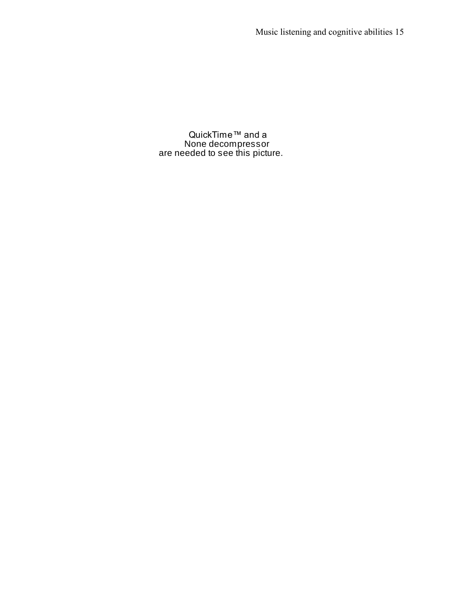QuickTime™ and a None decompressor are needed to see this picture.